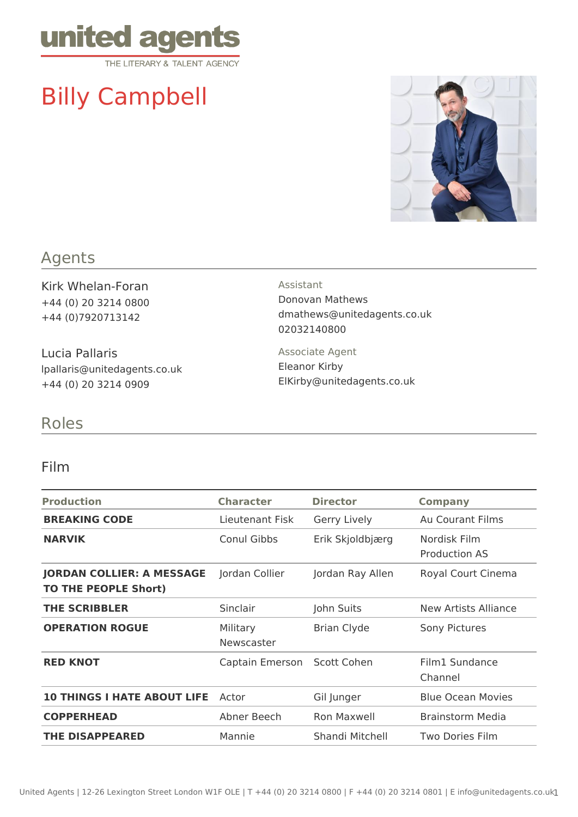

# Billy Campbell



#### Agents

Kirk Whelan-Foran +44 (0) 20 3214 0800 +44 (0)7920713142

Lucia Pallaris lpallaris@unitedagents.co.uk +44 (0) 20 3214 0909

#### Assistant

Donovan Mathews dmathews@unitedagents.co.uk 02032140800

Associate Agent Eleanor Kirby ElKirby@unitedagents.co.uk

## Roles

#### Film

| <b>Production</b>                                               | <b>Character</b>       | <b>Director</b>    | <b>Company</b>                       |
|-----------------------------------------------------------------|------------------------|--------------------|--------------------------------------|
| <b>BREAKING CODE</b>                                            | Lieutenant Fisk        | Gerry Lively       | Au Courant Films                     |
| <b>NARVIK</b>                                                   | Conul Gibbs            | Erik Skjoldbjærg   | Nordisk Film<br><b>Production AS</b> |
| <b>JORDAN COLLIER: A MESSAGE</b><br><b>TO THE PEOPLE Short)</b> | Jordan Collier         | Jordan Ray Allen   | Royal Court Cinema                   |
| <b>THE SCRIBBLER</b>                                            | Sinclair               | John Suits         | New Artists Alliance                 |
| <b>OPERATION ROGUE</b>                                          | Military<br>Newscaster | <b>Brian Clyde</b> | Sony Pictures                        |
| <b>RED KNOT</b>                                                 | Captain Emerson        | Scott Cohen        | Film1 Sundance<br>Channel            |
| <b>10 THINGS I HATE ABOUT LIFE</b>                              | Actor                  | Gil Junger         | <b>Blue Ocean Movies</b>             |
| <b>COPPERHEAD</b>                                               | Abner Beech            | Ron Maxwell        | Brainstorm Media                     |
| <b>THE DISAPPEARED</b>                                          | Mannie                 | Shandi Mitchell    | Two Dories Film                      |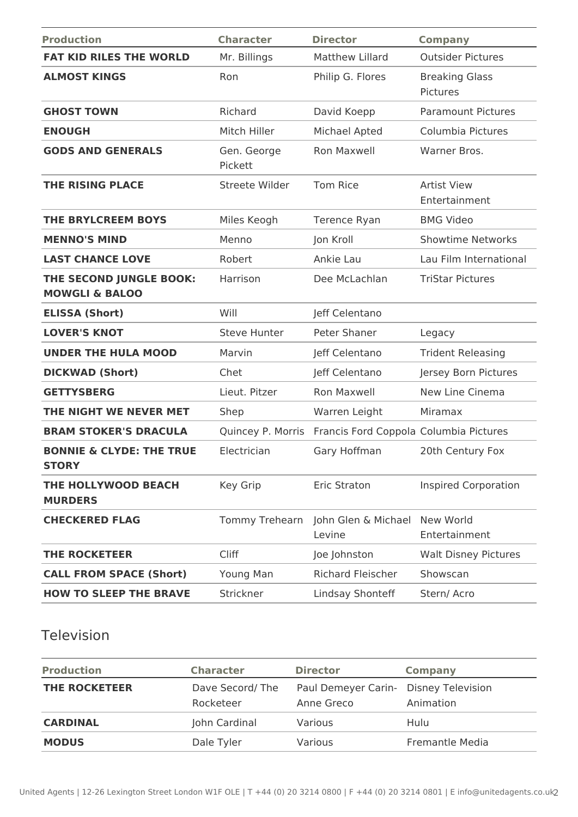| <b>Production</b>                                    | <b>Character</b>       | <b>Director</b>                        | <b>Company</b>                      |
|------------------------------------------------------|------------------------|----------------------------------------|-------------------------------------|
| <b>FAT KID RILES THE WORLD</b>                       | Mr. Billings           | <b>Matthew Lillard</b>                 | <b>Outsider Pictures</b>            |
| <b>ALMOST KINGS</b>                                  | Ron                    | Philip G. Flores                       | <b>Breaking Glass</b><br>Pictures   |
| <b>GHOST TOWN</b>                                    | Richard                | David Koepp                            | <b>Paramount Pictures</b>           |
| <b>ENOUGH</b>                                        | Mitch Hiller           | Michael Apted                          | Columbia Pictures                   |
| <b>GODS AND GENERALS</b>                             | Gen. George<br>Pickett | <b>Ron Maxwell</b>                     | Warner Bros.                        |
| <b>THE RISING PLACE</b>                              | Streete Wilder         | <b>Tom Rice</b>                        | <b>Artist View</b><br>Entertainment |
| <b>THE BRYLCREEM BOYS</b>                            | Miles Keogh            | Terence Ryan                           | <b>BMG Video</b>                    |
| <b>MENNO'S MIND</b>                                  | Menno                  | Jon Kroll                              | <b>Showtime Networks</b>            |
| <b>LAST CHANCE LOVE</b>                              | Robert                 | Ankie Lau                              | Lau Film International              |
| THE SECOND JUNGLE BOOK:<br><b>MOWGLI &amp; BALOO</b> | Harrison               | Dee McLachlan                          | <b>TriStar Pictures</b>             |
| <b>ELISSA (Short)</b>                                | Will                   | Jeff Celentano                         |                                     |
| <b>LOVER'S KNOT</b>                                  | <b>Steve Hunter</b>    | Peter Shaner                           | Legacy                              |
| <b>UNDER THE HULA MOOD</b>                           | Marvin                 | Jeff Celentano                         | <b>Trident Releasing</b>            |
| <b>DICKWAD (Short)</b>                               | Chet                   | Jeff Celentano                         | Jersey Born Pictures                |
| <b>GETTYSBERG</b>                                    | Lieut. Pitzer          | <b>Ron Maxwell</b>                     | New Line Cinema                     |
| THE NIGHT WE NEVER MET                               | Shep                   | Warren Leight                          | Miramax                             |
| <b>BRAM STOKER'S DRACULA</b>                         | Quincey P. Morris      | Francis Ford Coppola Columbia Pictures |                                     |
| <b>BONNIE &amp; CLYDE: THE TRUE</b><br><b>STORY</b>  | Electrician            | Gary Hoffman                           | 20th Century Fox                    |
| THE HOLLYWOOD BEACH<br><b>MURDERS</b>                | Key Grip               | Eric Straton                           | <b>Inspired Corporation</b>         |
| <b>CHECKERED FLAG</b>                                | Tommy Trehearn         | John Glen & Michael<br>Levine          | New World<br>Entertainment          |
| <b>THE ROCKETEER</b>                                 | Cliff                  | Joe Johnston                           | <b>Walt Disney Pictures</b>         |
| <b>CALL FROM SPACE (Short)</b>                       | Young Man              | <b>Richard Fleischer</b>               | Showscan                            |
| <b>HOW TO SLEEP THE BRAVE</b>                        | Strickner              | Lindsay Shonteff                       | Stern/Acro                          |

### Television

| <b>Production</b>    | <b>Character</b>             | <b>Director</b>                                     | <b>Company</b>         |
|----------------------|------------------------------|-----------------------------------------------------|------------------------|
| <b>THE ROCKETEER</b> | Dave Secord/The<br>Rocketeer | Paul Demeyer Carin- Disney Television<br>Anne Greco | Animation              |
| <b>CARDINAL</b>      | John Cardinal                | Various                                             | Hulu                   |
| <b>MODUS</b>         | Dale Tyler                   | Various                                             | <b>Fremantle Media</b> |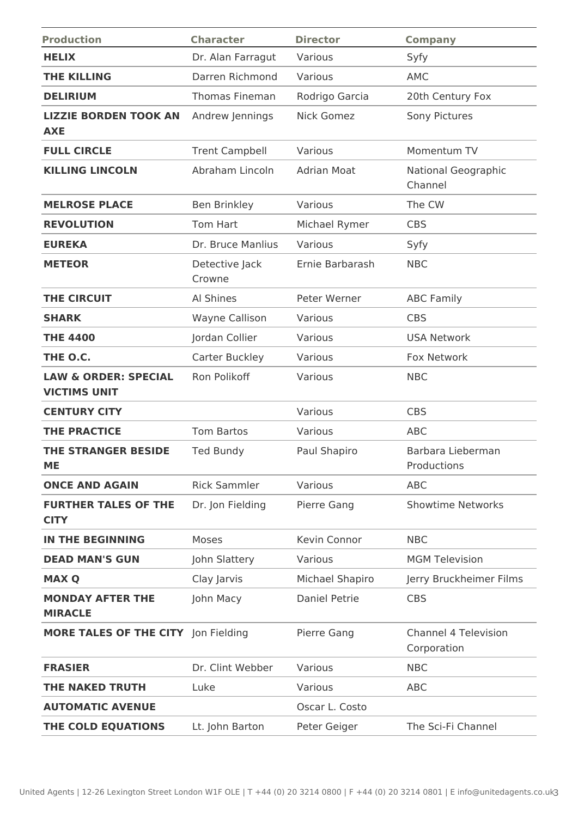| <b>Production</b>                                      | <b>Character</b>         | <b>Director</b>      | <b>Company</b>                             |
|--------------------------------------------------------|--------------------------|----------------------|--------------------------------------------|
| <b>HELIX</b>                                           | Dr. Alan Farragut        | Various              | Syfy                                       |
| <b>THE KILLING</b>                                     | Darren Richmond          | Various              | <b>AMC</b>                                 |
| <b>DELIRIUM</b>                                        | <b>Thomas Fineman</b>    | Rodrigo Garcia       | 20th Century Fox                           |
| <b>LIZZIE BORDEN TOOK AN</b><br><b>AXE</b>             | Andrew Jennings          | Nick Gomez           | Sony Pictures                              |
| <b>FULL CIRCLE</b>                                     | <b>Trent Campbell</b>    | Various              | Momentum TV                                |
| <b>KILLING LINCOLN</b>                                 | Abraham Lincoln          | <b>Adrian Moat</b>   | National Geographic<br>Channel             |
| <b>MELROSE PLACE</b>                                   | <b>Ben Brinkley</b>      | Various              | The CW                                     |
| <b>REVOLUTION</b>                                      | Tom Hart                 | Michael Rymer        | <b>CBS</b>                                 |
| <b>EUREKA</b>                                          | Dr. Bruce Manlius        | Various              | Syfy                                       |
| <b>METEOR</b>                                          | Detective Jack<br>Crowne | Ernie Barbarash      | <b>NBC</b>                                 |
| <b>THE CIRCUIT</b>                                     | Al Shines                | Peter Werner         | <b>ABC Family</b>                          |
| <b>SHARK</b>                                           | <b>Wayne Callison</b>    | Various              | <b>CBS</b>                                 |
| <b>THE 4400</b>                                        | Jordan Collier           | Various              | <b>USA Network</b>                         |
| THE O.C.                                               | Carter Buckley           | Various              | Fox Network                                |
| <b>LAW &amp; ORDER: SPECIAL</b><br><b>VICTIMS UNIT</b> | Ron Polikoff             | Various              | <b>NBC</b>                                 |
| <b>CENTURY CITY</b>                                    |                          | Various              | <b>CBS</b>                                 |
| <b>THE PRACTICE</b>                                    | <b>Tom Bartos</b>        | Various              | <b>ABC</b>                                 |
| <b>THE STRANGER BESIDE</b><br><b>ME</b>                | <b>Ted Bundy</b>         | Paul Shapiro         | Barbara Lieberman<br>Productions           |
| <b>ONCE AND AGAIN</b>                                  | <b>Rick Sammler</b>      | Various              | <b>ABC</b>                                 |
| <b>FURTHER TALES OF THE</b><br><b>CITY</b>             | Dr. Jon Fielding         | Pierre Gang          | <b>Showtime Networks</b>                   |
| <b>IN THE BEGINNING</b>                                | Moses                    | Kevin Connor         | <b>NBC</b>                                 |
| <b>DEAD MAN'S GUN</b>                                  | John Slattery            | Various              | <b>MGM Television</b>                      |
| <b>MAX Q</b>                                           | Clay Jarvis              | Michael Shapiro      | Jerry Bruckheimer Films                    |
| <b>MONDAY AFTER THE</b><br><b>MIRACLE</b>              | John Macy                | <b>Daniel Petrie</b> | <b>CBS</b>                                 |
| MORE TALES OF THE CITY Jon Fielding                    |                          | Pierre Gang          | <b>Channel 4 Television</b><br>Corporation |
| <b>FRASIER</b>                                         | Dr. Clint Webber         | Various              | <b>NBC</b>                                 |
| THE NAKED TRUTH                                        | Luke                     | Various              | <b>ABC</b>                                 |
| <b>AUTOMATIC AVENUE</b>                                |                          | Oscar L. Costo       |                                            |
| THE COLD EQUATIONS                                     | Lt. John Barton          | Peter Geiger         | The Sci-Fi Channel                         |